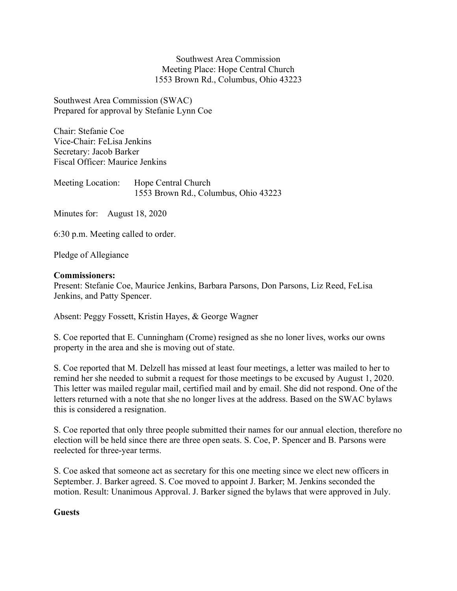Southwest Area Commission Meeting Place: Hope Central Church 1553 Brown Rd., Columbus, Ohio 43223

Southwest Area Commission (SWAC) Prepared for approval by Stefanie Lynn Coe

Chair: Stefanie Coe Vice-Chair: FeLisa Jenkins Secretary: Jacob Barker Fiscal Officer: Maurice Jenkins

Meeting Location: Hope Central Church 1553 Brown Rd., Columbus, Ohio 43223

Minutes for: August 18, 2020

6:30 p.m. Meeting called to order.

Pledge of Allegiance

#### Commissioners:

Present: Stefanie Coe, Maurice Jenkins, Barbara Parsons, Don Parsons, Liz Reed, FeLisa Jenkins, and Patty Spencer.

Absent: Peggy Fossett, Kristin Hayes, & George Wagner

S. Coe reported that E. Cunningham (Crome) resigned as she no loner lives, works our owns property in the area and she is moving out of state.

S. Coe reported that M. Delzell has missed at least four meetings, a letter was mailed to her to remind her she needed to submit a request for those meetings to be excused by August 1, 2020. This letter was mailed regular mail, certified mail and by email. She did not respond. One of the letters returned with a note that she no longer lives at the address. Based on the SWAC bylaws this is considered a resignation.

S. Coe reported that only three people submitted their names for our annual election, therefore no election will be held since there are three open seats. S. Coe, P. Spencer and B. Parsons were reelected for three-year terms.

S. Coe asked that someone act as secretary for this one meeting since we elect new officers in September. J. Barker agreed. S. Coe moved to appoint J. Barker; M. Jenkins seconded the motion. Result: Unanimous Approval. J. Barker signed the bylaws that were approved in July.

# **Guests**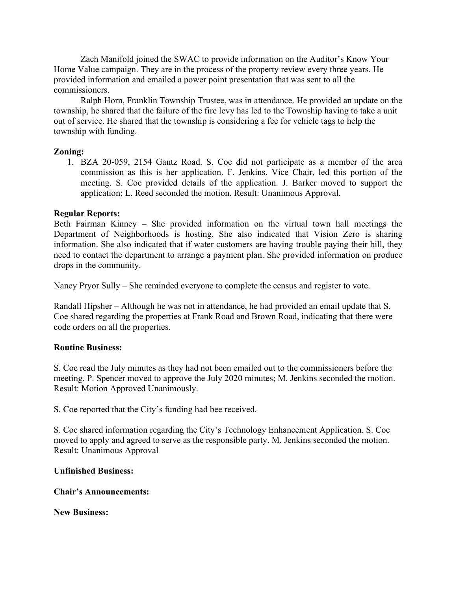Zach Manifold joined the SWAC to provide information on the Auditor's Know Your Home Value campaign. They are in the process of the property review every three years. He provided information and emailed a power point presentation that was sent to all the commissioners.

 Ralph Horn, Franklin Township Trustee, was in attendance. He provided an update on the township, he shared that the failure of the fire levy has led to the Township having to take a unit out of service. He shared that the township is considering a fee for vehicle tags to help the township with funding.

## Zoning:

1. BZA 20-059, 2154 Gantz Road. S. Coe did not participate as a member of the area commission as this is her application. F. Jenkins, Vice Chair, led this portion of the meeting. S. Coe provided details of the application. J. Barker moved to support the application; L. Reed seconded the motion. Result: Unanimous Approval.

## Regular Reports:

Beth Fairman Kinney – She provided information on the virtual town hall meetings the Department of Neighborhoods is hosting. She also indicated that Vision Zero is sharing information. She also indicated that if water customers are having trouble paying their bill, they need to contact the department to arrange a payment plan. She provided information on produce drops in the community.

Nancy Pryor Sully – She reminded everyone to complete the census and register to vote.

Randall Hipsher – Although he was not in attendance, he had provided an email update that S. Coe shared regarding the properties at Frank Road and Brown Road, indicating that there were code orders on all the properties.

#### Routine Business:

S. Coe read the July minutes as they had not been emailed out to the commissioners before the meeting. P. Spencer moved to approve the July 2020 minutes; M. Jenkins seconded the motion. Result: Motion Approved Unanimously.

S. Coe reported that the City's funding had bee received.

S. Coe shared information regarding the City's Technology Enhancement Application. S. Coe moved to apply and agreed to serve as the responsible party. M. Jenkins seconded the motion. Result: Unanimous Approval

#### Unfinished Business:

#### Chair's Announcements:

New Business: